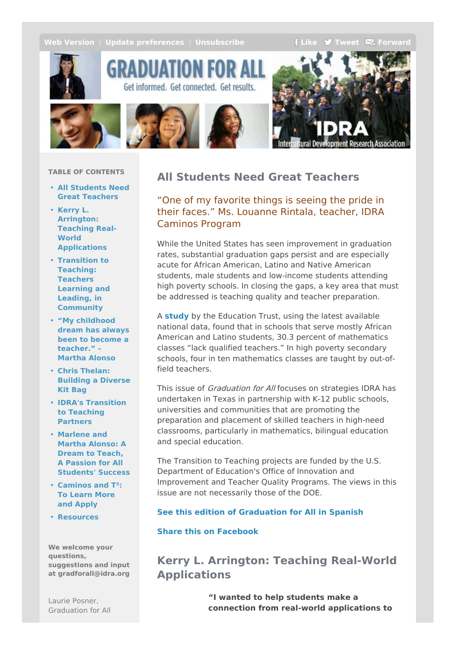<span id="page-0-0"></span>**Web [Version](http://idra.createsend1.com/t/r-e-ozhkjl-l-r/)** | **Update [preferences](http://idra.updatemyprofile.com/r-l-2AD73FFF-l-y)** | **[Unsubscribe](http://idra.createsend1.com/t/r-u-ozhkjl-l-j/) F[Like](/t/r-fb-ozhkjl-l-i/?act=wv) J [Tweet](http://idra.createsend1.com/t/r-tw-ozhkjl-l-h/)**  $\mathbb{Z}$  **[Forward](http://idra.forwardtomyfriend.com/r-l-2AD73FFF-ozhkjl-l-u)** 



GRADUATION FO Get informed. Get connected. Get results.



### **TABLE OF CONTENTS**

- **All Students Need Great [Teachers](#page-0-0)**
- **Kerry L. Arrington: Teaching Real-World [Applications](#page-0-0)**
- **Transition to Teaching: Teachers Learning and Leading, in [Community](#page-0-0)**
- **"My [childhood](#page-0-0) dream has always been to become a teacher." – Martha Alonso**
- **Chris Thelan: [Building](#page-0-0) a Diverse Kit Bag**
- **IDRA's [Transition](#page-0-0) to Teaching Partners**
- **Marlene and Martha Alonso: A Dream to Teach, A Passion for All [Students'](#page-0-0) Success**
- **[Caminos](#page-0-0) and T³: To Learn More and Apply**
- **[Resources](#page-0-0)**

**We welcome your questions, suggestions and input at gradforall@idra.org**

# **All Students Need Great Teachers**

"One of my favorite things is seeing the pride in their faces." Ms. Louanne Rintala, teacher, IDRA Caminos Program

While the United States has seen improvement in graduation rates, substantial graduation gaps persist and are especially acute for African American, Latino and Native American students, male students and low-income students attending high poverty schools. In closing the gaps, a key area that must be addressed is teaching quality and teacher preparation.

A **[study](http://idra.createsend1.com/t/r-l-ozhkjl-l-e/)** by the Education Trust, using the latest available national data, found that in schools that serve mostly African American and Latino students, 30.3 percent of mathematics classes "lack qualified teachers." In high poverty secondary schools, four in ten mathematics classes are taught by out-offield teachers.

This issue of Graduation for All focuses on strategies IDRA has undertaken in Texas in partnership with K-12 public schools, universities and communities that are promoting the preparation and placement of skilled teachers in high-need classrooms, particularly in mathematics, bilingual education and special education.

The Transition to Teaching projects are funded by the U.S. Department of Education's Office of Innovation and Improvement and Teacher Quality Programs. The views in this issue are not necessarily those of the DOE.

### **See this edition of [Graduation](http://idra.createsend1.com/t/r-l-ozhkjl-l-s/) for All in Spanish**

### **Share this on [Facebook](/t/r-fb-ozhkjl-l-jl/?act=wv)**

# **Kerry L. Arrington: Teaching Real-World Applications**

**"I wanted to help students make a connection from real-world applications to**

Laurie Posner, Graduation for All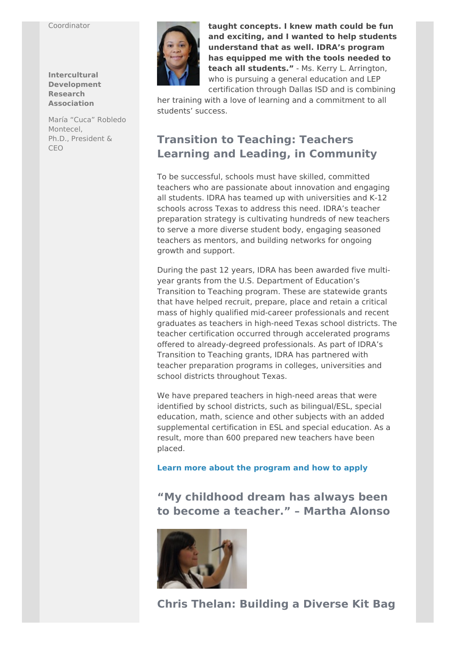#### Coordinator

**Intercultural Development Research Association**

María "Cuca" Robledo Montecel, Ph.D., President & CEO



**taught concepts. I knew math could be fun and exciting, and I wanted to help students understand that as well. IDRA's program has equipped me with the tools needed to teach all students."** - Ms. Kerry L. Arrington, who is pursuing a general education and LEP certification through Dallas ISD and is combining

her training with a love of learning and a commitment to all students' success.

# **Transition to Teaching: Teachers Learning and Leading, in Community**

To be successful, schools must have skilled, committed teachers who are passionate about innovation and engaging all students. IDRA has teamed up with universities and K-12 schools across Texas to address this need. IDRA's teacher preparation strategy is cultivating hundreds of new teachers to serve a more diverse student body, engaging seasoned teachers as mentors, and building networks for ongoing growth and support.

During the past 12 years, IDRA has been awarded five multiyear grants from the U.S. Department of Education's Transition to Teaching program. These are statewide grants that have helped recruit, prepare, place and retain a critical mass of highly qualified mid-career professionals and recent graduates as teachers in high-need Texas school districts. The teacher certification occurred through accelerated programs offered to already-degreed professionals. As part of IDRA's Transition to Teaching grants, IDRA has partnered with teacher preparation programs in colleges, universities and school districts throughout Texas.

We have prepared teachers in high-need areas that were identified by school districts, such as bilingual/ESL, special education, math, science and other subjects with an added supplemental certification in ESL and special education. As a result, more than 600 prepared new teachers have been placed.

**Learn more about the [program](http://idra.createsend1.com/t/r-l-ozhkjl-l-g/) and how to apply**

**"My childhood dream has always been to become a teacher." – Martha Alonso**



# **Chris Thelan: Building a Diverse Kit Bag**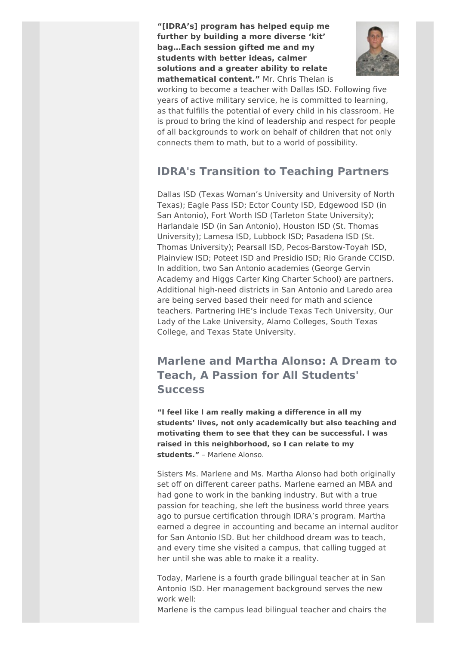**"[IDRA's] program has helped equip me further by building a more diverse 'kit' bag…Each session gifted me and my students with better ideas, calmer solutions and a greater ability to relate mathematical content."** Mr. Chris Thelan is



working to become a teacher with Dallas ISD. Following five years of active military service, he is committed to learning, as that fulfills the potential of every child in his classroom. He is proud to bring the kind of leadership and respect for people of all backgrounds to work on behalf of children that not only connects them to math, but to a world of possibility.

# **IDRA's Transition to Teaching Partners**

Dallas ISD (Texas Woman's University and University of North Texas); Eagle Pass ISD; Ector County ISD, Edgewood ISD (in San Antonio), Fort Worth ISD (Tarleton State University); Harlandale ISD (in San Antonio), Houston ISD (St. Thomas University); Lamesa ISD, Lubbock ISD; Pasadena ISD (St. Thomas University); Pearsall ISD, Pecos-Barstow-Toyah ISD, Plainview ISD; Poteet ISD and Presidio ISD; Rio Grande CCISD. In addition, two San Antonio academies (George Gervin Academy and Higgs Carter King Charter School) are partners. Additional high-need districts in San Antonio and Laredo area are being served based their need for math and science teachers. Partnering IHE's include Texas Tech University, Our Lady of the Lake University, Alamo Colleges, South Texas College, and Texas State University.

# **Marlene and Martha Alonso: A Dream to Teach, A Passion for All Students' Success**

**"I feel like I am really making a difference in all my students' lives, not only academically but also teaching and motivating them to see that they can be successful. I was raised in this neighborhood, so I can relate to my students."** – Marlene Alonso.

Sisters Ms. Marlene and Ms. Martha Alonso had both originally set off on different career paths. Marlene earned an MBA and had gone to work in the banking industry. But with a true passion for teaching, she left the business world three years ago to pursue certification through IDRA's program. Martha earned a degree in accounting and became an internal auditor for San Antonio ISD. But her childhood dream was to teach, and every time she visited a campus, that calling tugged at her until she was able to make it a reality.

Today, Marlene is a fourth grade bilingual teacher at in San Antonio ISD. Her management background serves the new work well:

Marlene is the campus lead bilingual teacher and chairs the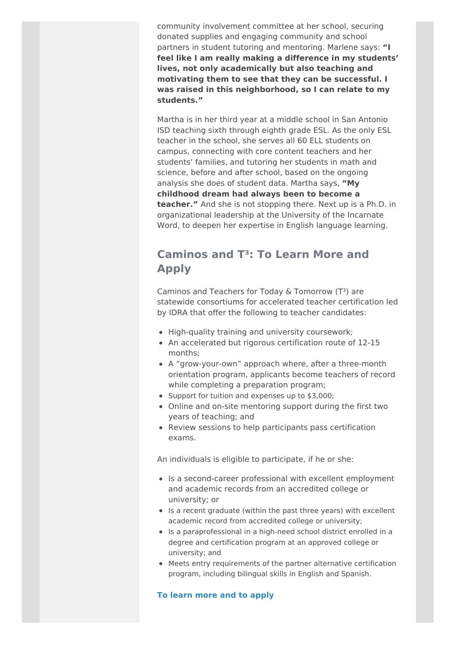community involvement committee at her school, securing donated supplies and engaging community and school partners in student tutoring and mentoring. Marlene says: **"I feel like I am really making a difference in my students' lives, not only academically but also teaching and motivating them to see that they can be successful. I was raised in this neighborhood, so I can relate to my students."**

Martha is in her third year at a middle school in San Antonio ISD teaching sixth through eighth grade ESL. As the only ESL teacher in the school, she serves all 60 ELL students on campus, connecting with core content teachers and her students' families, and tutoring her students in math and science, before and after school, based on the ongoing analysis she does of student data. Martha says, **"My childhood dream had always been to become a teacher."** And she is not stopping there. Next up is a Ph.D. in organizational leadership at the University of the Incarnate Word, to deepen her expertise in English language learning.

## **Caminos and T³: To Learn More and Apply**

Caminos and Teachers for Today & Tomorrow  $(T<sup>3</sup>)$  are statewide consortiums for accelerated teacher certification led by IDRA that offer the following to teacher candidates:

- High-quality training and university coursework;
- An accelerated but rigorous certification route of 12-15 months;
- A "grow-your-own" approach where, after a three-month orientation program, applicants become teachers of record while completing a preparation program;
- Support for tuition and expenses up to \$3,000;
- Online and on-site mentoring support during the first two years of teaching; and
- Review sessions to help participants pass certification exams.

An individuals is eligible to participate, if he or she:

- Is a second-career professional with excellent employment and academic records from an accredited college or university; or
- Is a recent graduate (within the past three years) with excellent academic record from accredited college or university;
- Is a paraprofessional in a high-need school district enrolled in a degree and certification program at an approved college or university; and
- Meets entry requirements of the partner alternative certification program, including bilingual skills in English and Spanish.

### **To learn more and to [apply](http://idra.createsend1.com/t/r-l-ozhkjl-l-w/)**